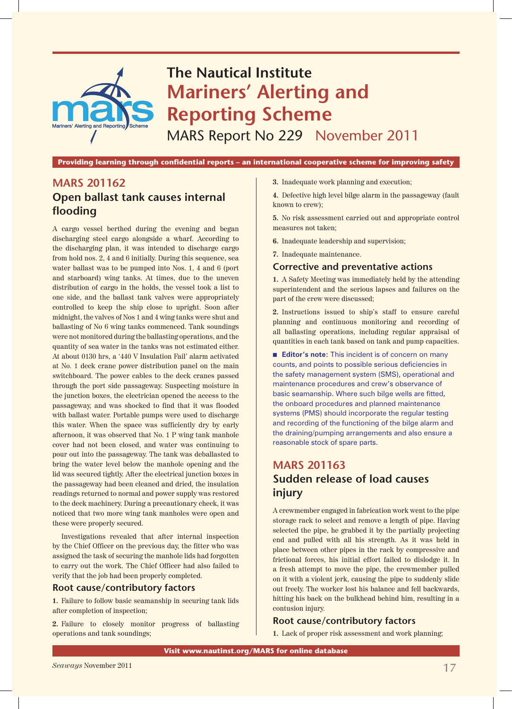

**Providing learning through confidential reports – an international cooperative scheme for improving safety**

# **MARS 201162 Open ballast tank causes internal flooding**

A cargo vessel berthed during the evening and began discharging steel cargo alongside a wharf. According to the discharging plan, it was intended to discharge cargo from hold nos. 2, 4 and 6 initially. During this sequence, sea water ballast was to be pumped into Nos. 1, 4 and 6 (port and starboard) wing tanks. At times, due to the uneven distribution of cargo in the holds, the vessel took a list to one side, and the ballast tank valves were appropriately controlled to keep the ship close to upright. Soon after midnight, the valves of Nos 1 and 4 wing tanks were shut and ballasting of No 6 wing tanks commenced. Tank soundings were not monitored during the ballasting operations, and the quantity of sea water in the tanks was not estimated either. At about 0130 hrs, a '440 V Insulation Fail' alarm activated at No. 1 deck crane power distribution panel on the main switchboard. The power cables to the deck cranes passed through the port side passageway. Suspecting moisture in the junction boxes, the electrician opened the access to the passageway, and was shocked to find that it was flooded with ballast water. Portable pumps were used to discharge this water. When the space was sufficiently dry by early afternoon, it was observed that No. 1 P wing tank manhole cover had not been closed, and water was continuing to pour out into the passageway. The tank was deballasted to bring the water level below the manhole opening and the lid was secured tightly. After the electrical junction boxes in the passageway had been cleaned and dried, the insulation readings returned to normal and power supply was restored to the deck machinery. During a precautionary check, it was noticed that two more wing tank manholes were open and these were properly secured.

Investigations revealed that after internal inspection by the Chief Officer on the previous day, the fitter who was assigned the task of securing the manhole lids had forgotten to carry out the work. The Chief Officer had also failed to verify that the job had been properly completed.

#### **Root cause/contributory factors**

**1.** Failure to follow basic seamanship in securing tank lids after completion of inspection;

**2.** Failure to closely monitor progress of ballasting operations and tank soundings;

**3.** Inadequate work planning and execution;

**4.** Defective high level bilge alarm in the passageway (fault known to crew);

**5.** No risk assessment carried out and appropriate control measures not taken;

**6.** Inadequate leadership and supervision;

**7.** Inadequate maintenance.

#### **Corrective and preventative actions**

**1.** A Safety Meeting was immediately held by the attending superintendent and the serious lapses and failures on the part of the crew were discussed;

**2.** Instructions issued to ship's staff to ensure careful planning and continuous monitoring and recording of all ballasting operations, including regular appraisal of quantities in each tank based on tank and pump capacities.

**Editor's note:** This incident is of concern on many counts, and points to possible serious deficiencies in the safety management system (SMS), operational and maintenance procedures and crew's observance of basic seamanship. Where such bilge wells are fitted, the onboard procedures and planned maintenance systems (PMS) should incorporate the regular testing and recording of the functioning of the bilge alarm and the draining/pumping arrangements and also ensure a reasonable stock of spare parts.

# **MARS 201163 Sudden release of load causes injury**

A crewmember engaged in fabrication work went to the pipe storage rack to select and remove a length of pipe. Having selected the pipe, he grabbed it by the partially projecting end and pulled with all his strength. As it was held in place between other pipes in the rack by compressive and frictional forces, his initial effort failed to dislodge it. In a fresh attempt to move the pipe, the crewmember pulled on it with a violent jerk, causing the pipe to suddenly slide out freely. The worker lost his balance and fell backwards, hitting his back on the bulkhead behind him, resulting in a contusion injury.

#### **Root cause/contributory factors**

**1.** Lack of proper risk assessment and work planning;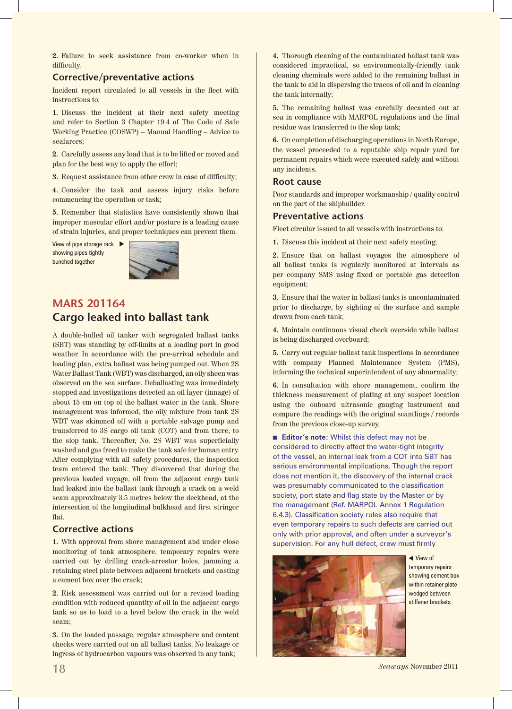**2.** Failure to seek assistance from co-worker when in difficulty.

### **Corrective/preventative actions**

Incident report circulated to all vessels in the fleet with instructions to:

**1.** Discuss the incident at their next safety meeting and refer to Section 3 Chapter 19.4 of The Code of Safe Working Practice (COSWP) – Manual Handling – Advice to seafarers;

**2.** Carefully assess any load that is to be lifted or moved and plan for the best way to apply the effort;

**3.** Request assistance from other crew in case of difficulty;

**4.** Consider the task and assess injury risks before commencing the operation or task;

**5.** Remember that statistics have consistently shown that improper muscular effort and/or posture is a leading cause of strain injuries, and proper techniques can prevent them.

View of pipe storage rack  $\blacktriangleright$ showing pipes tightly bunched together



## **MARS 201164 Cargo leaked into ballast tank**

A double-hulled oil tanker with segregated ballast tanks (SBT) was standing by off-limits at a loading port in good weather. In accordance with the pre-arrival schedule and loading plan, extra ballast was being pumped out. When 2S Water Ballast Tank (WBT) was discharged, an oily sheen was observed on the sea surface. Deballasting was immediately stopped and investigations detected an oil layer (innage) of about 15 cm on top of the ballast water in the tank. Shore management was informed, the oily mixture from tank 2S WBT was skimmed off with a portable salvage pump and transferred to 3S cargo oil tank (COT) and from there, to the slop tank. Thereafter, No. 2S WBT was superficially washed and gas freed to make the tank safe for human entry. After complying with all safety procedures, the inspection team entered the tank. They discovered that during the previous loaded voyage, oil from the adjacent cargo tank had leaked into the ballast tank through a crack on a weld seam approximately 3.5 metres below the deckhead, at the intersection of the longitudinal bulkhead and first stringer flat.

## **Corrective actions**

**1.** With approval from shore management and under close monitoring of tank atmosphere, temporary repairs were carried out by drilling crack-arrestor holes, jamming a retaining steel plate between adjacent brackets and casting a cement box over the crack;

**2.** Risk assessment was carried out for a revised loading condition with reduced quantity of oil in the adjacent cargo tank so as to load to a level below the crack in the weld seam;

**3.** On the loaded passage, regular atmosphere and content checks were carried out on all ballast tanks. No leakage or ingress of hydrocarbon vapours was observed in any tank;

**4.** Thorough cleaning of the contaminated ballast tank was considered impractical, so environmentally-friendly tank cleaning chemicals were added to the remaining ballast in the tank to aid in dispersing the traces of oil and in cleaning the tank internally;

**5.** The remaining ballast was carefully decanted out at sea in compliance with MARPOL regulations and the final residue was transferred to the slop tank;

**6.** On completion of discharging operations in North Europe, the vessel proceeded to a reputable ship repair yard for permanent repairs which were executed safely and without any incidents.

#### **Root cause**

Poor standards and improper workmanship / quality control on the part of the shipbuilder.

#### **Preventative actions**

Fleet circular issued to all vessels with instructions to:

**1.** Discuss this incident at their next safety meeting;

**2.** Ensure that on ballast voyages the atmosphere of all ballast tanks is regularly monitored at intervals as per company SMS using fixed or portable gas detection equipment;

**3.** Ensure that the water in ballast tanks is uncontaminated prior to discharge, by sighting of the surface and sample drawn from each tank;

**4.** Maintain continuous visual check overside while ballast is being discharged overboard;

**5.** Carry out regular ballast tank inspections in accordance with company Planned Maintenance System (PMS), informing the technical superintendent of any abnormality;

**6.** In consultation with shore management, confirm the thickness measurement of plating at any suspect location using the onboard ultrasonic gauging instrument and compare the readings with the original scantlings / records from the previous close-up survey.

**Editor's note:** Whilst this defect may not be considered to directly affect the water-tight integrity of the vessel, an internal leak from a COT into SBT has serious environmental implications. Though the report does not mention it, the discovery of the internal crack was presumably communicated to the classification society, port state and flag state by the Master or by the management (Ref. MARPOL Annex 1 Regulation 6.4.3). Classification society rules also require that even temporary repairs to such defects are carried out only with prior approval, and often under a surveyor's supervision. For any hull defect, crew must firmly



◀ View of temporary repairs showing cement box within retainer plate wedged between stiffener brackets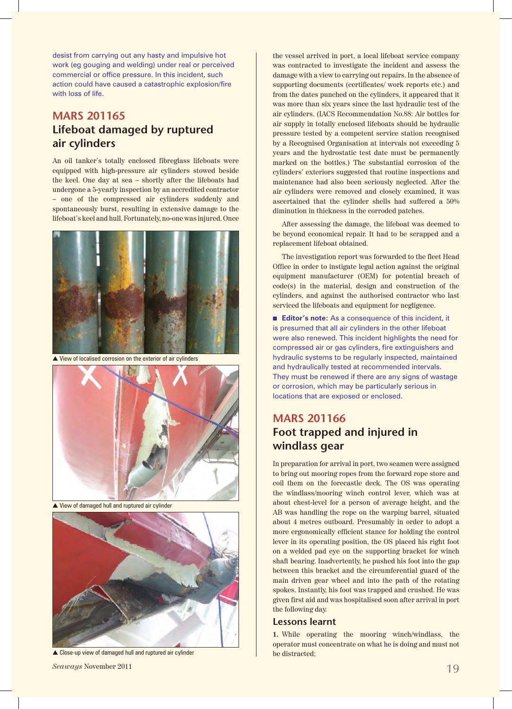desist from carrying out any hasty and impulsive hot work (eg gouging and welding) under real or perceived commercial or office pressure. In this incident, such action could have caused a catastrophic explosion/fire with loss of life.

# **MARS 201165 Lifeboat damaged by ruptured air cylinders**

An oil tanker's totally enclosed fibreglass lifeboats were equipped with high-pressure air cylinders stowed beside the keel. One day at sea – shortly after the lifeboats had undergone a 5-yearly inspection by an accredited contractor – one of the compressed air cylinders suddenly and spontaneously burst, resulting in extensive damage to the lifeboat's keel and hull. Fortunately, no-one was injured. Once



 $\triangle$  View of localised corrosion on the exterior of air cylinders



 $\triangle$  View of damaged hull and ruptured air cylinder



 $\triangle$  Close-up view of damaged hull and ruptured air cylinder

the vessel arrived in port, a local lifeboat service company was contracted to investigate the incident and assess the damage with a view to carrying out repairs. In the absence of supporting documents (certificates/ work reports etc.) and from the dates punched on the cylinders, it appeared that it was more than six years since the last hydraulic test of the air cylinders. (IACS Recommendation No.88: Air bottles for air supply in totally enclosed lifeboats should be hydraulic pressure tested by a competent service station recognised by a Recognised Organisation at intervals not exceeding 5 years and the hydrostatic test date must be permanently marked on the bottles.) The substantial corrosion of the cylinders' exteriors suggested that routine inspections and maintenance had also been seriously neglected. After the air cylinders were removed and closely examined, it was ascertained that the cylinder shells had suffered a 50% diminution in thickness in the corroded patches.

After assessing the damage, the lifeboat was deemed to be beyond economical repair. It had to be scrapped and a replacement lifeboat obtained.

The investigation report was forwarded to the fleet Head Office in order to instigate legal action against the original equipment manufacturer (OEM) for potential breach of code(s) in the material, design and construction of the cylinders, and against the authorised contractor who last serviced the lifeboats and equipment for negligence.

■ **Editor's note:** As a consequence of this incident, it is presumed that all air cylinders in the other lifeboat were also renewed. This incident highlights the need for compressed air or gas cylinders, fire extinguishers and hydraulic systems to be regularly inspected, maintained and hydraulically tested at recommended intervals. They must be renewed if there are any signs of wastage or corrosion, which may be particularly serious in locations that are exposed or enclosed.

## **MARS 201166 Foot trapped and injured in windlass gear**

In preparation for arrival in port, two seamen were assigned to bring out mooring ropes from the forward rope store and coil them on the forecastle deck. The OS was operating the windlass/mooring winch control lever, which was at about chest-level for a person of average height, and the AB was handling the rope on the warping barrel, situated about 4 metres outboard. Presumably in order to adopt a more ergonomically efficient stance for holding the control lever in its operating position, the OS placed his right foot on a welded pad eye on the supporting bracket for winch shaft bearing. Inadvertently, he pushed his foot into the gap between this bracket and the circumferential guard of the main driven gear wheel and into the path of the rotating spokes. Instantly, his foot was trapped and crushed. He was given first aid and was hospitalised soon after arrival in port the following day.

#### **Lessons learnt**

**1.** While operating the mooring winch/windlass, the operator must concentrate on what he is doing and must not be distracted;